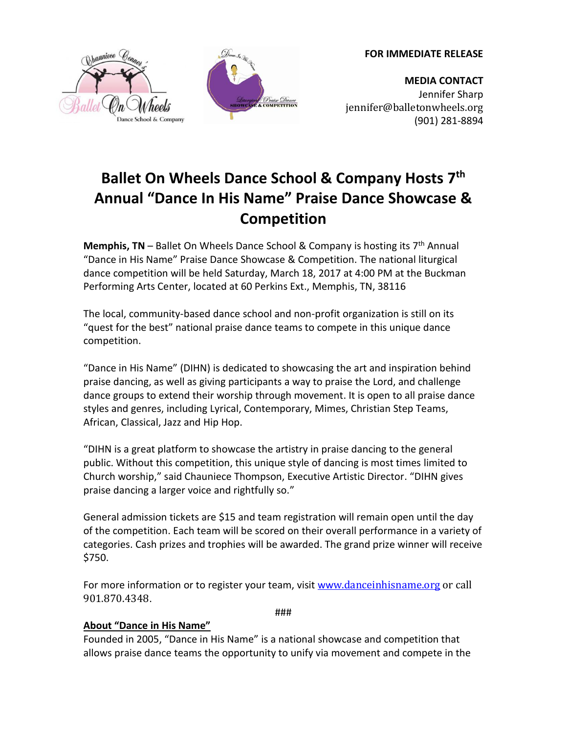**FOR IMMEDIATE RELEASE**



**MEDIA CONTACT** Jennifer Sharp jennifer@balletonwheels.org (901) 281-8894

## **Ballet On Wheels Dance School & Company Hosts 7th Annual "Dance In His Name" Praise Dance Showcase & Competition**

**Memphis, TN** – Ballet On Wheels Dance School & Company is hosting its 7<sup>th</sup> Annual "Dance in His Name" Praise Dance Showcase & Competition. The national liturgical dance competition will be held Saturday, March 18, 2017 at 4:00 PM at the Buckman Performing Arts Center, located at 60 Perkins Ext., Memphis, TN, 38116

The local, community-based dance school and non-profit organization is still on its "quest for the best" national praise dance teams to compete in this unique dance competition.

"Dance in His Name" (DIHN) is dedicated to showcasing the art and inspiration behind praise dancing, as well as giving participants a way to praise the Lord, and challenge dance groups to extend their worship through movement. It is open to all praise dance styles and genres, including Lyrical, Contemporary, Mimes, Christian Step Teams, African, Classical, Jazz and Hip Hop.

"DIHN is a great platform to showcase the artistry in praise dancing to the general public. Without this competition, this unique style of dancing is most times limited to Church worship," said Chauniece Thompson, Executive Artistic Director. "DIHN gives praise dancing a larger voice and rightfully so."

General admission tickets are \$15 and team registration will remain open until the day of the competition. Each team will be scored on their overall performance in a variety of categories. Cash prizes and trophies will be awarded. The grand prize winner will receive \$750.

For more information or to register your team, visit ww[w.danceinhisname.org](http://www.danceinhisname.org/) or call 901.870.4348.

###

## **About "Dance in His Name"**

Founded in 2005, "Dance in His Name" is a national showcase and competition that allows praise dance teams the opportunity to unify via movement and compete in the